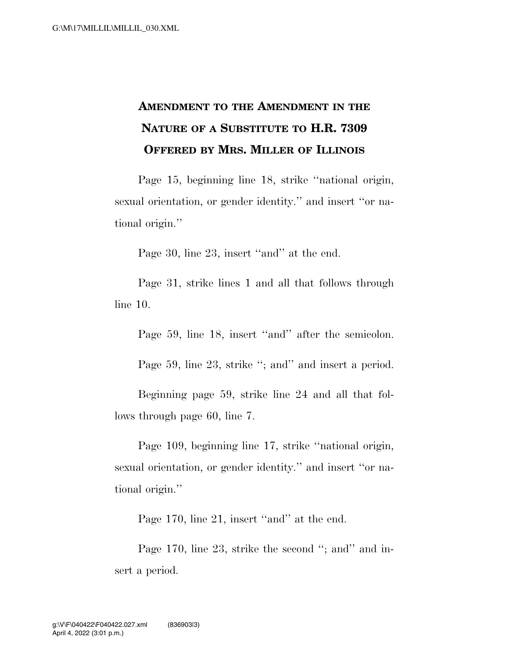## **AMENDMENT TO THE AMENDMENT IN THE NATURE OF A SUBSTITUTE TO H.R. 7309 OFFERED BY MRS. MILLER OF ILLINOIS**

Page 15, beginning line 18, strike ''national origin, sexual orientation, or gender identity.'' and insert ''or national origin.''

Page 30, line 23, insert "and" at the end.

Page 31, strike lines 1 and all that follows through line 10.

Page 59, line 18, insert "and" after the semicolon.

Page 59, line 23, strike "; and" and insert a period.

Beginning page 59, strike line 24 and all that follows through page 60, line 7.

Page 109, beginning line 17, strike ''national origin, sexual orientation, or gender identity." and insert "or national origin.''

Page 170, line 21, insert "and" at the end.

Page 170, line 23, strike the second "; and" and insert a period.